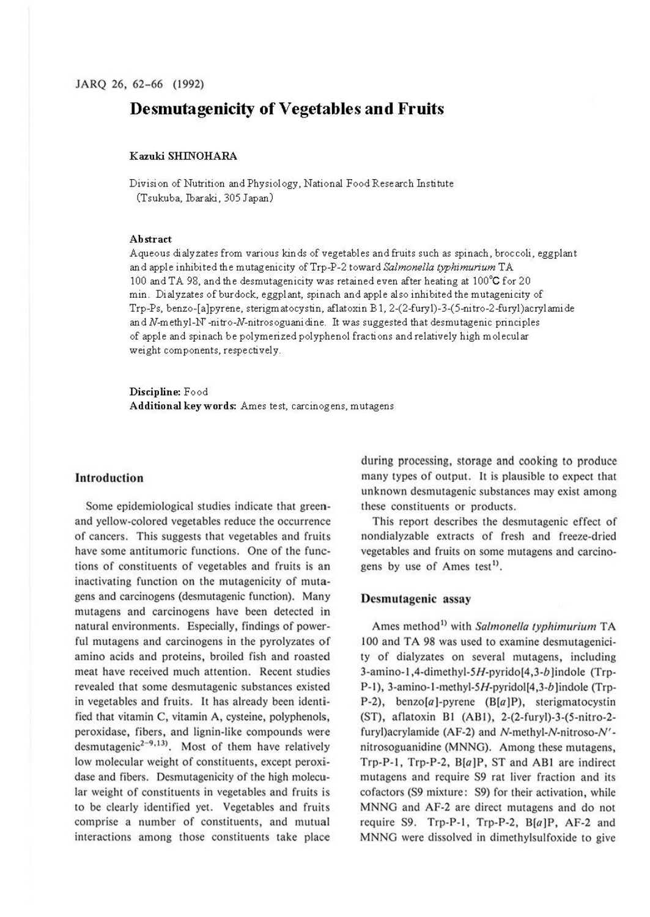# **Desmutagenicity of Vegetables and Fruits**

### **Kazuki SHINOHARA**

Division of Nutrition and Physiology, National Food Research Institute (Tsukuba, Ibaraki, 305 Japan)

#### **Abstract**

Aqueous dialyzates from various kinds of vegetables and fruits such as spinach, broccoli, eggplant and apple inhibited the mutagenicity ofTrp-P-2 toward *Salmonella typhimurium* TA 100 and TA 98, and the desmutagenicity was retained even after heating at 100°C for 20 min. Dialyzates of burdock, eggplant, spinach and apple also inhibited the mutagenicity of Trp-Ps, benzo-[ a]pyrene, sterigm atocystin, aflatoxin B 1, 2-(2-fury 1)-3-( 5-ni tro-2-furyl )acryl amide and N-methyl-N' -nitro-N-nitrosoguanidine. It was suggested that desmutagenic principles of apple and spinach be polymerized polyphenol fractions and relatively high molecular weight components, respectively.

**Discipline:** Food **Additional keywords:** Ames test, carcinogens, mutagens

### **Introduction**

Some epidemiological studies indicate that greenand yellow-colored vegetables reduce the occurrence of cancers. This suggests that vegetables and fruits have some antitumoric functions. One of the functions of constituents of vegetables and fruits is an inactivating function on the mutagenicity of mutagens and carcinogens (desmutagenic function). Many mutagens and carcinogens have been detected in natural environments. Especially, findings of powerful mutagens and carcinogens in the pyrolyzates of amino acids and proteins, broiled fish and roasted meat have received much attention. Recent studies revealed that some desmutagenic substances existed in vegetables and fruits. It has already been identified that vitamin C, vitamin A, cysteine, polyphenols, peroxidase, fibers, and lignin-like compounds were desmutagenic<sup>2-9,13)</sup>. Most of them have relatively low molecular weight of constituents, except peroxidase and fibers. Desmutagenicity of the high molecular weight of constituents in vegetables and fruits is to be clearly identified yet. Vegetables and fruits comprise a number of constituents, and mutual interactions among those constituents take place

during processing, storage and cooking to produce many types of output. It is plausible to expect that unknown desmutagenic substances may exist among these constituents or products.

This report describes the desmutagenic effect of nondialyzable extracts of fresh and freeze-dried vegetables and fruits on some mutagens and carcinogens by use of Ames test<sup>1)</sup>.

### **Desmutagenic assay**

Ames method<sup>1)</sup> with *Salmonella typhimurium* TA 100 and TA 98 was used to examine desmutagenicity of dialyzates on several mutagens, including 3-amino-l ,4-dimethyl-5H-pyrido(4,3-b Jindole (Trp-P-1), 3-amino-1-methyl-5H-pyridol[4,3-b]indole (Trp-P-2), benzo[a )-pyrene (B[a **JP),** sterigmatocystin (ST), aflatoxin Bl (AB!), 2-(2-furyl)-3-(5-nitro-2 furyl)acrylamide (AF-2) and N-methyl-N-nitroso-N' nitrosoguanidine (MNNG). Among these mutagens, Trp-P-1, Trp-P-2,  $B[a]P$ , ST and AB1 are indirect mutagens and require S9 rat liver fraction and its cofactors (S9 mixture: S9) for their activation, while MNNG and AF-2 are direct mutagens and do not require S9. Trp-P-1, Trp-P-2,  $B[a]P$ , AF-2 and MNNG were dissolved in dimethylsulfoxide to give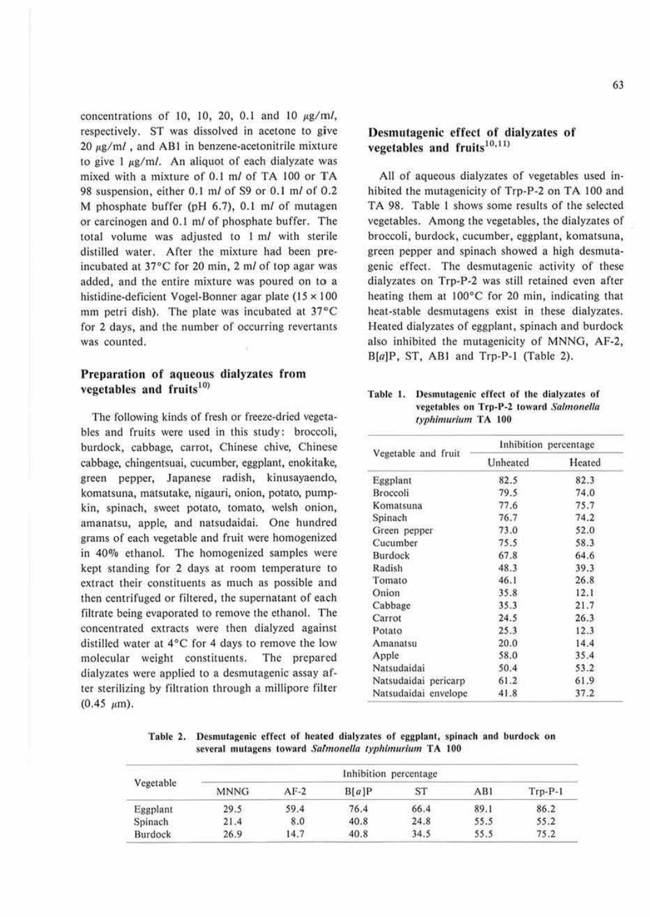concentrations of 10, 10, 20, 0.1 and 10  $\mu$ g/m/, respectively. ST was dissolved in acetone to give  $20 \mu g/ml$ , and AB1 in benzene-acetonitrile mixture to give  $1 \mu g/ml$ . An aliquot of each dialyzate was mixed with a mixture of  $0.1$  m $/$  of TA 100 or TA 98 suspension, either  $0.1$  m/ of S9 or  $0.1$  m/ of  $0.2$ M phosphate buffer (pH 6. 7), 0. 1 *ml* of mutagen or carcinogen and 0.1 *ml* of phosphate buffer. The total volume was adjusted to  $1 \text{ m}$  with sterile distilled water. After the mixture had been preincubated at 37°C for 20 min, 2 ml of top agar was added, and 1he entire mixture was poured on **io** a histidine-deficient Vogel-Bonner agar plate (15  $\times$  100 mm petri dish). The plate was incubated at  $37^{\circ}$ C for 2 days, and the number of occurring revertants was counted.

## **Preparation of aqueous dialyzates from** vegetables and fruits<sup>10)</sup>

The following kinds of fresh or freeze-dried vegetables and fruits were used in this study: broccoli, burdock, cabbage, carrot, Chinese chive, Chinese cabbage, chingentsuai, cucumber, eggplant, enokiiakc, green pepper, Japanese radish, kinusayaendo, komatsuna, matsutake, nigauri, onion, potato, pumpkin, spinach, sweet potato, tomato, welsh onion, amanatsu, apple, and natsudaidai. One hundred grams of each vegetable and fruit were homogenized in 40% ethanol. The homogenized samples were kept standing for 2 days at room temperature to extract their constituents as much as possible and then centrifuged or filtered, the supernatant of each filtrate being evaporated to remove the ethanol. The concentrated extracts were then dialyzed against distilled water at  $4^{\circ}$ C for 4 days to remove the low molecular weight constituents. The prepared dialyzates were applied to a desmutagenic assay after sterilizing by filtration through a millipore filter  $(0.45 \mu m).$ 

# Desmutagenic effect of dialyzates of vegetables and fruits $10,11$

All of aqueous dialyzates of vegetables used inhibited the mutagenicity of Trp-P-2 on TA 100 and TA 98. Table 1 shows some results of the selected vegetables. Among the vegetables, the dialyzates of broccoli, burdock, cucumber, eggplant, komatsuna, green pepper and spinach showed a high desmutagenic effect. The desmutagenic activity of these dialyzates on Trp-P-2 was still retained even afler heating them at  $100^{\circ}$ C for 20 min, indicating that heat-stable desmutagens exist in these dialyzates. Heated dialyzates of eggplant, spinach and burdock also inhibited the mutagenicity of MNNG, AF-2, B[a]P, ST, AB! and Trp-P-1 (Table 2).

### Table 1. Desmutagenic effect of the dialyzates of vegetables on Trp-P-2 toward Salmonella *t)'pltimurium* TA 100

|                      | Inhibition percentage |                |  |
|----------------------|-----------------------|----------------|--|
| Vegetable and fruit  | Unheated              | Heated<br>82.3 |  |
| Eggplant             | 82.5                  |                |  |
| Broccoli             | 79.5                  | 74.0           |  |
| Komatsuna            | 77.6                  | 75.7           |  |
| Spinach              | 76.7                  | 74.2           |  |
| Green pepper         | 73.0                  | 52.0           |  |
| Cucumber             | 75.5                  | 58.3           |  |
| Burdock              | 67.8                  | 64.6           |  |
| Radish               | 48.3                  | 39.3           |  |
| Tomato               | 46.1                  | 26.8           |  |
| Onion                | 35.8                  | 12.1           |  |
| Cabbage              | 35.3                  | 21.7           |  |
| Carrot               | 24.5                  | 26.3           |  |
| Potato               | 25.3                  | 12.3           |  |
| Amanatsu             | 20.0                  | 14.4           |  |
| Apple                | 58.0                  | 35.4           |  |
| Natsudaidai          | 50.4                  | 53.2           |  |
| Natsudaidai pericarp | 61.2                  | 61.9           |  |
| Natsudaidai envelope | 41.8                  | 37.2           |  |

Table 2. Desmutagenic effect of heated dialyzates of eggplant, spinach and burdock on several mutagens toward Salmonella typhimurium TA 100

| Vegetable | Inhibition percentage |        |       |           |      |           |
|-----------|-----------------------|--------|-------|-----------|------|-----------|
|           | <b>MNNG</b>           | $AF-2$ | B[a]P | <b>ST</b> | AB1  | $Trp-P-1$ |
| Eggplant  | 29.5                  | 59.4   | 76.4  | 66.4      | 89.1 | 86.2      |
| Spinach   | 21.4                  | 8.0    | 40.8  | 24.8      | 55.5 | 55.2      |
| Burdock   | 26.9                  | 14.7   | 40.8  | 34.5      | 55.5 | 75.2      |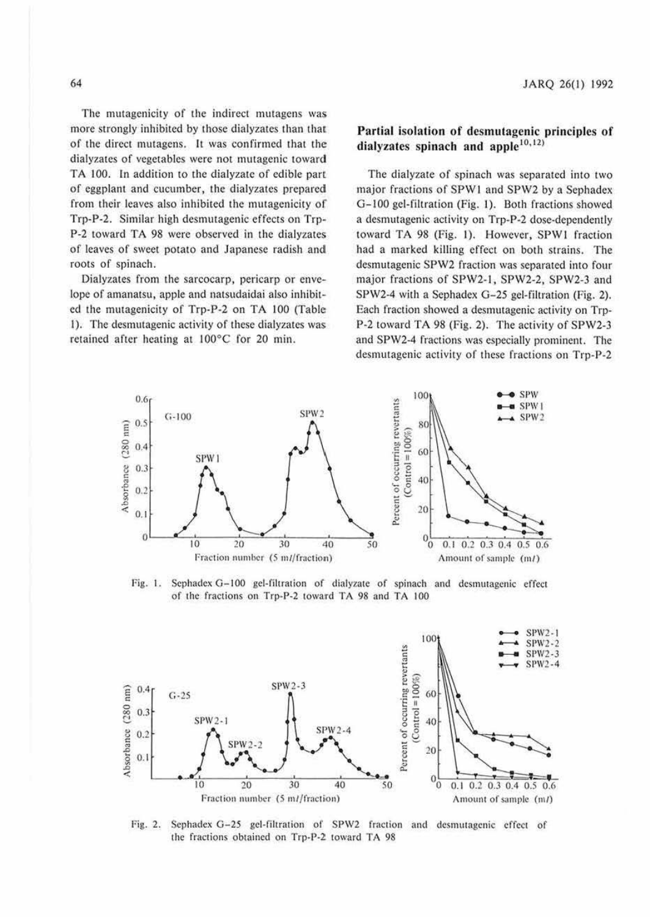The mutagenicity of the indirect mutagens was more strongly inhibited by those dialyzates than that of the direct mutagens. It was confirmed that the dialyzates of vegetables were not mutagenic toward TA 100. In addition to the dialyzate of edible part of eggplant and cucumber, the dialyzates prepared from their leaves also inhibited the mutagenicity of Trp-P-2. Similar high desmutagenic effects on Trp-P-2 toward TA 98 were observed in the dialyzates of leaves of sweet potato and Japanese radish and roots of spinach.

Dialyzates from the sarcocarp, pericarp or envelope of amanatsu, apple and natsudaidai also inhibited the mutagenicity of Trp-P-2 on TA 100 (Table l). The desmutagenic activity of these dialyzates was retained after heating at 100°C for 20 min.

# **Partial isolation of desmutagenic principles** of dialyzates spinach and apple<sup>10,12)</sup>

The dialyzate of spinach was separated into two major fractions of SPW1 and SPW2 by a Sephadex G-100 gel-filtration (Fig. l). Both fractions showed a desmutagenic activity on Trp-P-2 dose-dependemly to ward TA 98 (Fig. l). However, SPWI fraction had a marked killing effect on both strains. The desmutagenic SPW2 fraction was separated into four major fractions of SPW2-1, SPW2-2, SPW2-3 and SPW2-4 with a Sephadex G-25 gel-filtration (Fig. 2). Each fraction showed a desmutagenic activity on Trp-P-2 toward TA 98 (Fig. 2). The activity of SPW2-3 and SPW2-4 fractions was especially prominent. The desmutagenic activity of these fractions on Trp-P-2



Fig. 1. Sephadex G-100 gel-filtration of dialyzate of spinach and desmutagenic effect of the fractions on Trp-P-2 toward TA 98 and TA 100



Fig. 2. Sephadex G-25 gel-filtration of SPW2 fraction and desmutagenic effect of the fractions obtained on Trp-P-2 toward TA 98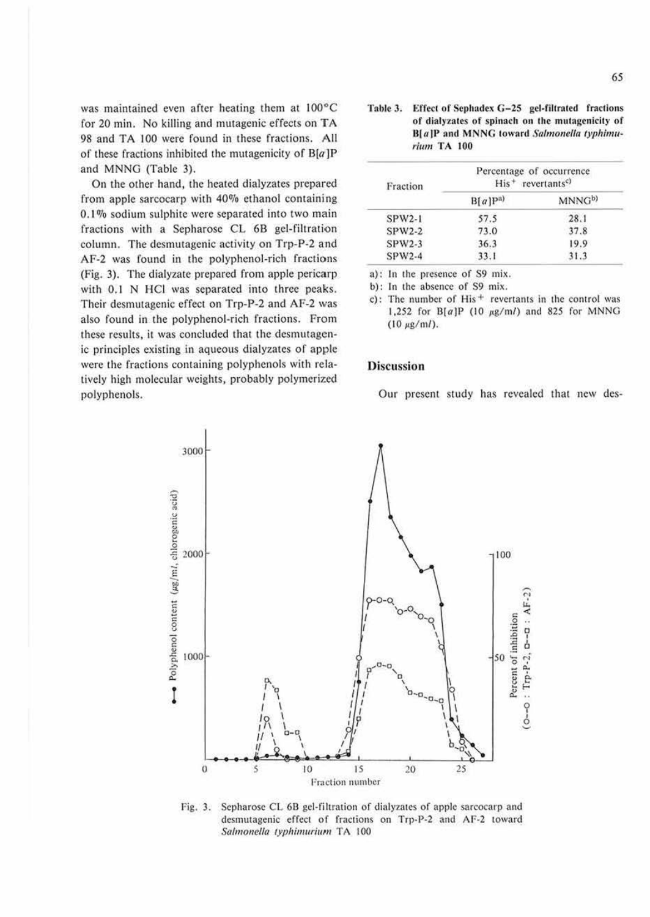was maintained even after heating them at 100°C for 20 min. No killing and mutagenic effects on TA 98 and TA 100 were found in these fractions. All of these fractions inhibited the mutagenicity of  $B[a]P$ and MNNG (Table 3).

On the other hand, the heated dialyzates prepared from apple sarcocarp with 40% ethanol containing 0.1% sodium sulphite were separated into two main fractions with a Sepharose CL 6B gel-filtration column. The desmutagenic activity on Trp-P-2 and AF-2 was found in the polyphenol-rich fractions (Fig. 3). The dialyzate prepared from apple pericarp with 0.1 N HCl was separated into three peaks. Their desmutagenic effect on Trp-P-2 and AF-2 was also found in the polyphenol-rich fractions. From these results, it was concluded that the desmutagenic principles existing in aqueous dialyzates of apple were the fractions containing polyphenols with relatively high molecular weights, probably polymerized polyphenols.

Effect of Sephadex G-25 gel-filtrated fractions Table 3. of dialyzates of spinach on the mutagenicity of B[a]P and MNNG toward Salmonella typhimurium TA 100

| Fraction | Percentage of occurrence<br>$His+ revertantsc$ |                    |  |
|----------|------------------------------------------------|--------------------|--|
|          | $B[a]P^{a}$                                    | MNNG <sup>b)</sup> |  |
| $SPW2-1$ | 57.5                                           | 28.1               |  |
| $SPW2-2$ | 73.0                                           | 37.8               |  |
| $SPW2-3$ | 36.3                                           | 19.9               |  |
| $SPW2-4$ | 33.1                                           | 31.3               |  |

a): In the presence of S9 mix.

b): In the absence of S9 mix.

c): The number of His<sup>+</sup> revertants in the control was 1,252 for B[ $a$ ]P (10  $\mu$ g/m*l*) and 825 for MNNG  $(10 \mu g/ml)$ .

### **Discussion**

Our present study has revealed that new des-



Sepharose CL 6B gel-filtration of dialyzates of apple sarcocarp and Fig. 3. desmutagenic effect of fractions on Trp-P-2 and AF-2 toward Salmonella typhimurium TA 100